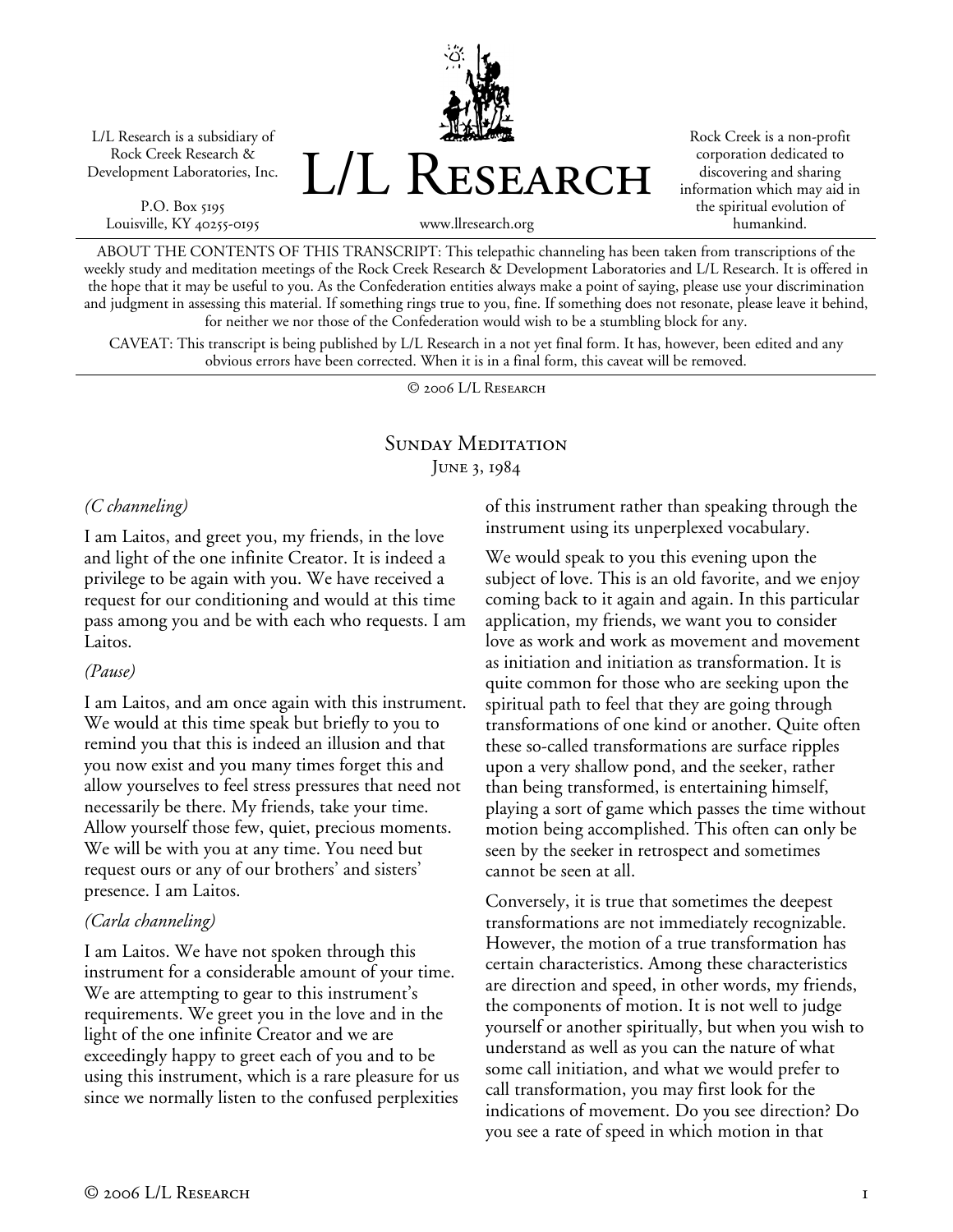L/L Research is a subsidiary of Rock Creek Research & Development Laboratories, Inc.

P.O. Box 5195 Louisville, KY 40255-0195 L/L Research

Rock Creek is a non-profit corporation dedicated to discovering and sharing information which may aid in the spiritual evolution of humankind.

www.llresearch.org

ABOUT THE CONTENTS OF THIS TRANSCRIPT: This telepathic channeling has been taken from transcriptions of the weekly study and meditation meetings of the Rock Creek Research & Development Laboratories and L/L Research. It is offered in the hope that it may be useful to you. As the Confederation entities always make a point of saying, please use your discrimination and judgment in assessing this material. If something rings true to you, fine. If something does not resonate, please leave it behind, for neither we nor those of the Confederation would wish to be a stumbling block for any.

CAVEAT: This transcript is being published by L/L Research in a not yet final form. It has, however, been edited and any obvious errors have been corrected. When it is in a final form, this caveat will be removed.

© 2006 L/L Research

# SUNDAY MEDITATION JUNE 3, 1984

#### *(C channeling)*

I am Laitos, and greet you, my friends, in the love and light of the one infinite Creator. It is indeed a privilege to be again with you. We have received a request for our conditioning and would at this time pass among you and be with each who requests. I am Laitos.

#### *(Pause)*

I am Laitos, and am once again with this instrument. We would at this time speak but briefly to you to remind you that this is indeed an illusion and that you now exist and you many times forget this and allow yourselves to feel stress pressures that need not necessarily be there. My friends, take your time. Allow yourself those few, quiet, precious moments. We will be with you at any time. You need but request ours or any of our brothers' and sisters' presence. I am Laitos.

#### *(Carla channeling)*

I am Laitos. We have not spoken through this instrument for a considerable amount of your time. We are attempting to gear to this instrument's requirements. We greet you in the love and in the light of the one infinite Creator and we are exceedingly happy to greet each of you and to be using this instrument, which is a rare pleasure for us since we normally listen to the confused perplexities

of this instrument rather than speaking through the instrument using its unperplexed vocabulary.

We would speak to you this evening upon the subject of love. This is an old favorite, and we enjoy coming back to it again and again. In this particular application, my friends, we want you to consider love as work and work as movement and movement as initiation and initiation as transformation. It is quite common for those who are seeking upon the spiritual path to feel that they are going through transformations of one kind or another. Quite often these so-called transformations are surface ripples upon a very shallow pond, and the seeker, rather than being transformed, is entertaining himself, playing a sort of game which passes the time without motion being accomplished. This often can only be seen by the seeker in retrospect and sometimes cannot be seen at all.

Conversely, it is true that sometimes the deepest transformations are not immediately recognizable. However, the motion of a true transformation has certain characteristics. Among these characteristics are direction and speed, in other words, my friends, the components of motion. It is not well to judge yourself or another spiritually, but when you wish to understand as well as you can the nature of what some call initiation, and what we would prefer to call transformation, you may first look for the indications of movement. Do you see direction? Do you see a rate of speed in which motion in that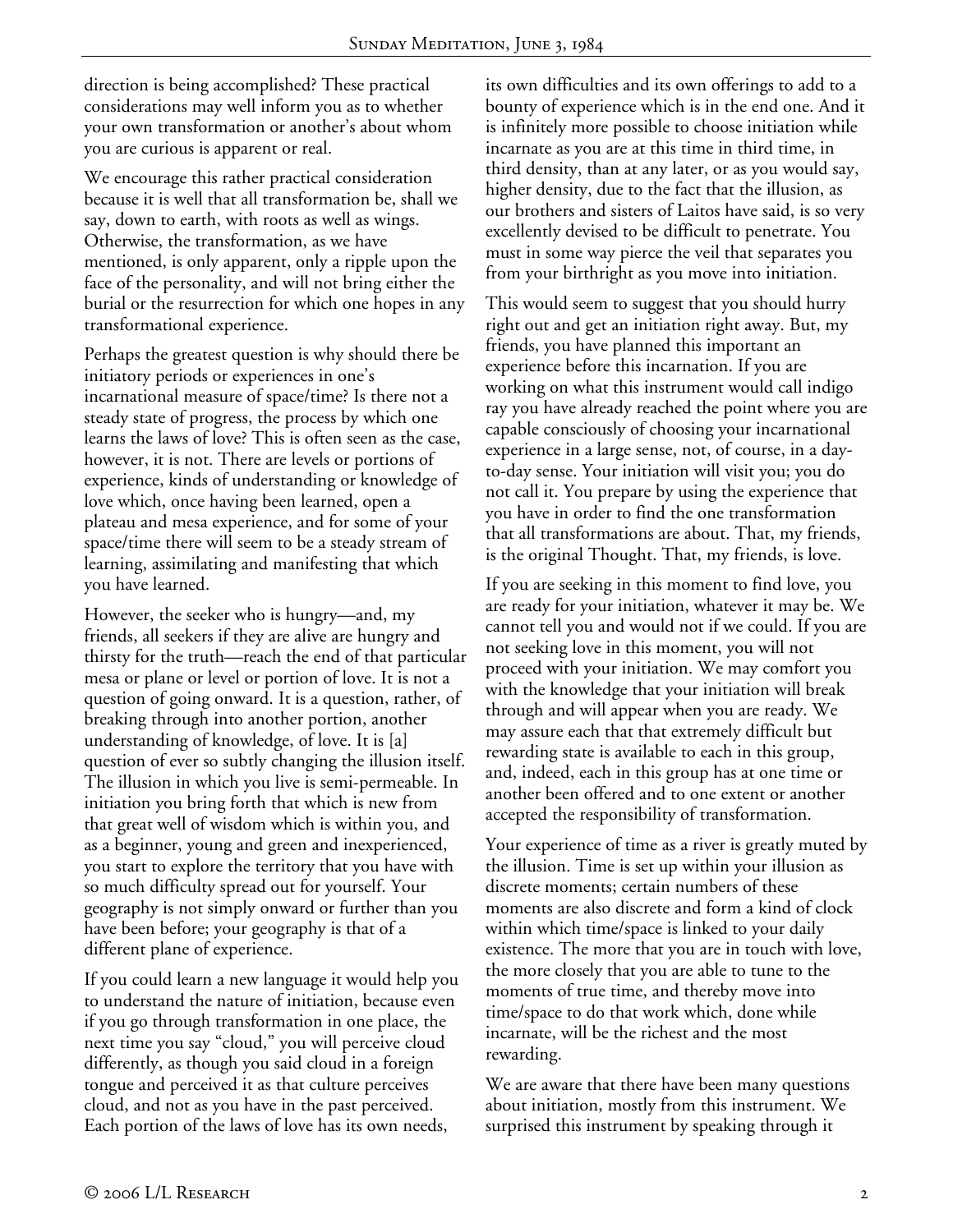direction is being accomplished? These practical considerations may well inform you as to whether your own transformation or another's about whom you are curious is apparent or real.

We encourage this rather practical consideration because it is well that all transformation be, shall we say, down to earth, with roots as well as wings. Otherwise, the transformation, as we have mentioned, is only apparent, only a ripple upon the face of the personality, and will not bring either the burial or the resurrection for which one hopes in any transformational experience.

Perhaps the greatest question is why should there be initiatory periods or experiences in one's incarnational measure of space/time? Is there not a steady state of progress, the process by which one learns the laws of love? This is often seen as the case, however, it is not. There are levels or portions of experience, kinds of understanding or knowledge of love which, once having been learned, open a plateau and mesa experience, and for some of your space/time there will seem to be a steady stream of learning, assimilating and manifesting that which you have learned.

However, the seeker who is hungry—and, my friends, all seekers if they are alive are hungry and thirsty for the truth—reach the end of that particular mesa or plane or level or portion of love. It is not a question of going onward. It is a question, rather, of breaking through into another portion, another understanding of knowledge, of love. It is [a] question of ever so subtly changing the illusion itself. The illusion in which you live is semi-permeable. In initiation you bring forth that which is new from that great well of wisdom which is within you, and as a beginner, young and green and inexperienced, you start to explore the territory that you have with so much difficulty spread out for yourself. Your geography is not simply onward or further than you have been before; your geography is that of a different plane of experience.

If you could learn a new language it would help you to understand the nature of initiation, because even if you go through transformation in one place, the next time you say "cloud," you will perceive cloud differently, as though you said cloud in a foreign tongue and perceived it as that culture perceives cloud, and not as you have in the past perceived. Each portion of the laws of love has its own needs,

its own difficulties and its own offerings to add to a bounty of experience which is in the end one. And it is infinitely more possible to choose initiation while incarnate as you are at this time in third time, in third density, than at any later, or as you would say, higher density, due to the fact that the illusion, as our brothers and sisters of Laitos have said, is so very excellently devised to be difficult to penetrate. You must in some way pierce the veil that separates you from your birthright as you move into initiation.

This would seem to suggest that you should hurry right out and get an initiation right away. But, my friends, you have planned this important an experience before this incarnation. If you are working on what this instrument would call indigo ray you have already reached the point where you are capable consciously of choosing your incarnational experience in a large sense, not, of course, in a dayto-day sense. Your initiation will visit you; you do not call it. You prepare by using the experience that you have in order to find the one transformation that all transformations are about. That, my friends, is the original Thought. That, my friends, is love.

If you are seeking in this moment to find love, you are ready for your initiation, whatever it may be. We cannot tell you and would not if we could. If you are not seeking love in this moment, you will not proceed with your initiation. We may comfort you with the knowledge that your initiation will break through and will appear when you are ready. We may assure each that that extremely difficult but rewarding state is available to each in this group, and, indeed, each in this group has at one time or another been offered and to one extent or another accepted the responsibility of transformation.

Your experience of time as a river is greatly muted by the illusion. Time is set up within your illusion as discrete moments; certain numbers of these moments are also discrete and form a kind of clock within which time/space is linked to your daily existence. The more that you are in touch with love, the more closely that you are able to tune to the moments of true time, and thereby move into time/space to do that work which, done while incarnate, will be the richest and the most rewarding.

We are aware that there have been many questions about initiation, mostly from this instrument. We surprised this instrument by speaking through it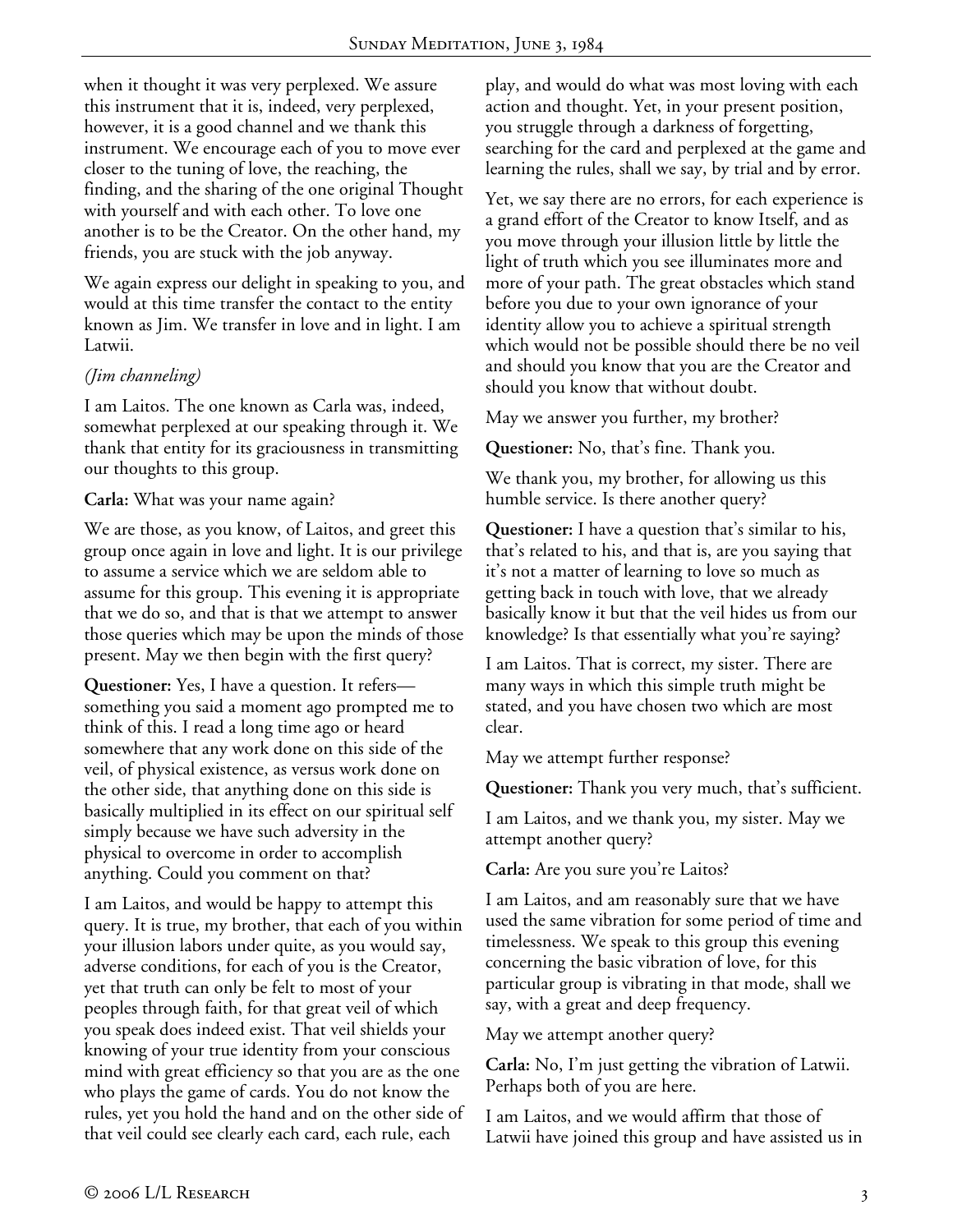when it thought it was very perplexed. We assure this instrument that it is, indeed, very perplexed, however, it is a good channel and we thank this instrument. We encourage each of you to move ever closer to the tuning of love, the reaching, the finding, and the sharing of the one original Thought with yourself and with each other. To love one another is to be the Creator. On the other hand, my friends, you are stuck with the job anyway.

We again express our delight in speaking to you, and would at this time transfer the contact to the entity known as Jim. We transfer in love and in light. I am Latwii.

# *(Jim channeling)*

I am Laitos. The one known as Carla was, indeed, somewhat perplexed at our speaking through it. We thank that entity for its graciousness in transmitting our thoughts to this group.

**Carla:** What was your name again?

We are those, as you know, of Laitos, and greet this group once again in love and light. It is our privilege to assume a service which we are seldom able to assume for this group. This evening it is appropriate that we do so, and that is that we attempt to answer those queries which may be upon the minds of those present. May we then begin with the first query?

**Questioner:** Yes, I have a question. It refers something you said a moment ago prompted me to think of this. I read a long time ago or heard somewhere that any work done on this side of the veil, of physical existence, as versus work done on the other side, that anything done on this side is basically multiplied in its effect on our spiritual self simply because we have such adversity in the physical to overcome in order to accomplish anything. Could you comment on that?

I am Laitos, and would be happy to attempt this query. It is true, my brother, that each of you within your illusion labors under quite, as you would say, adverse conditions, for each of you is the Creator, yet that truth can only be felt to most of your peoples through faith, for that great veil of which you speak does indeed exist. That veil shields your knowing of your true identity from your conscious mind with great efficiency so that you are as the one who plays the game of cards. You do not know the rules, yet you hold the hand and on the other side of that veil could see clearly each card, each rule, each

play, and would do what was most loving with each action and thought. Yet, in your present position, you struggle through a darkness of forgetting, searching for the card and perplexed at the game and learning the rules, shall we say, by trial and by error.

Yet, we say there are no errors, for each experience is a grand effort of the Creator to know Itself, and as you move through your illusion little by little the light of truth which you see illuminates more and more of your path. The great obstacles which stand before you due to your own ignorance of your identity allow you to achieve a spiritual strength which would not be possible should there be no veil and should you know that you are the Creator and should you know that without doubt.

May we answer you further, my brother?

**Questioner:** No, that's fine. Thank you.

We thank you, my brother, for allowing us this humble service. Is there another query?

**Questioner:** I have a question that's similar to his, that's related to his, and that is, are you saying that it's not a matter of learning to love so much as getting back in touch with love, that we already basically know it but that the veil hides us from our knowledge? Is that essentially what you're saying?

I am Laitos. That is correct, my sister. There are many ways in which this simple truth might be stated, and you have chosen two which are most clear.

May we attempt further response?

**Questioner:** Thank you very much, that's sufficient.

I am Laitos, and we thank you, my sister. May we attempt another query?

**Carla:** Are you sure you're Laitos?

I am Laitos, and am reasonably sure that we have used the same vibration for some period of time and timelessness. We speak to this group this evening concerning the basic vibration of love, for this particular group is vibrating in that mode, shall we say, with a great and deep frequency.

May we attempt another query?

**Carla:** No, I'm just getting the vibration of Latwii. Perhaps both of you are here.

I am Laitos, and we would affirm that those of Latwii have joined this group and have assisted us in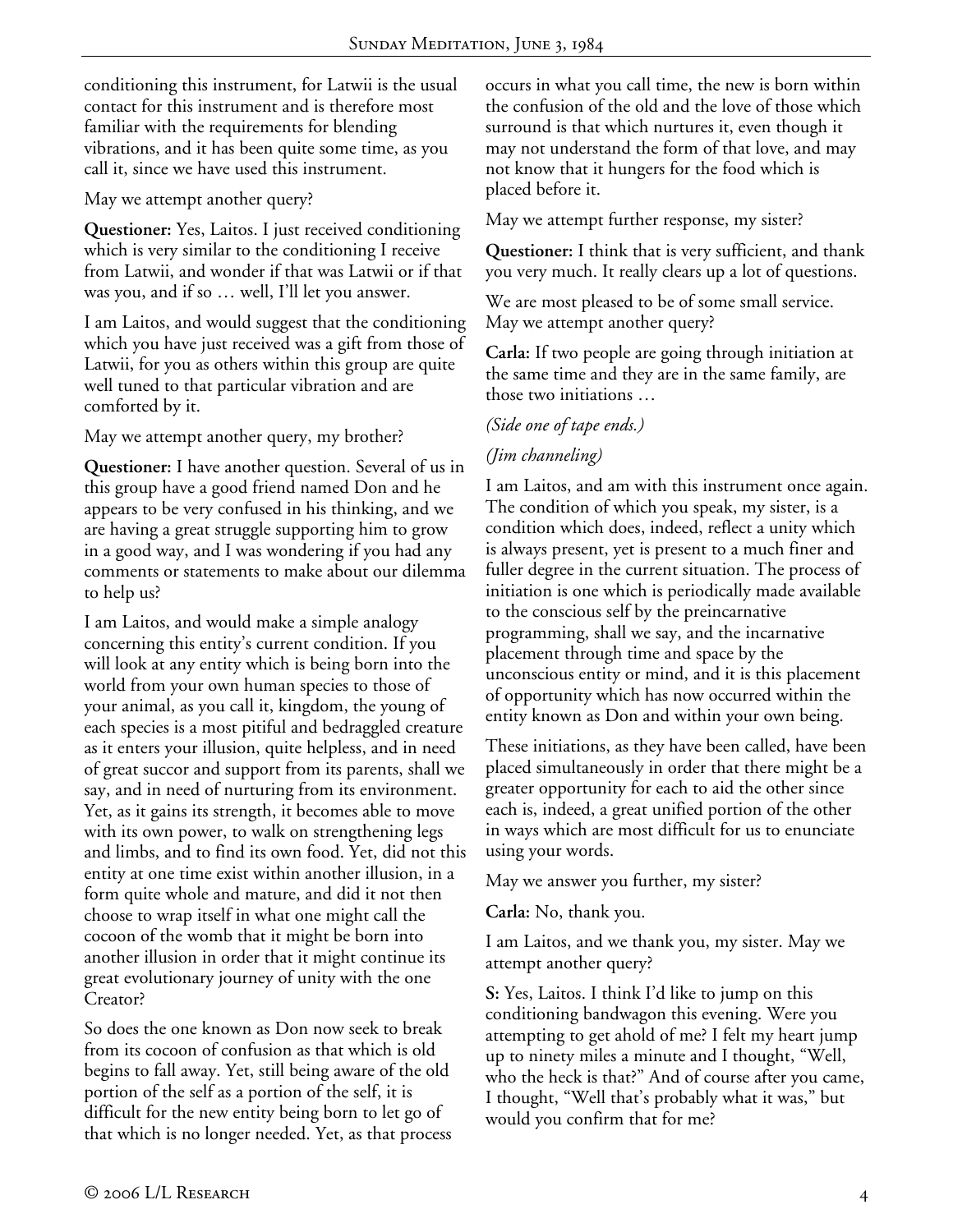conditioning this instrument, for Latwii is the usual contact for this instrument and is therefore most familiar with the requirements for blending vibrations, and it has been quite some time, as you call it, since we have used this instrument.

May we attempt another query?

**Questioner:** Yes, Laitos. I just received conditioning which is very similar to the conditioning I receive from Latwii, and wonder if that was Latwii or if that was you, and if so … well, I'll let you answer.

I am Laitos, and would suggest that the conditioning which you have just received was a gift from those of Latwii, for you as others within this group are quite well tuned to that particular vibration and are comforted by it.

May we attempt another query, my brother?

**Questioner:** I have another question. Several of us in this group have a good friend named Don and he appears to be very confused in his thinking, and we are having a great struggle supporting him to grow in a good way, and I was wondering if you had any comments or statements to make about our dilemma to help us?

I am Laitos, and would make a simple analogy concerning this entity's current condition. If you will look at any entity which is being born into the world from your own human species to those of your animal, as you call it, kingdom, the young of each species is a most pitiful and bedraggled creature as it enters your illusion, quite helpless, and in need of great succor and support from its parents, shall we say, and in need of nurturing from its environment. Yet, as it gains its strength, it becomes able to move with its own power, to walk on strengthening legs and limbs, and to find its own food. Yet, did not this entity at one time exist within another illusion, in a form quite whole and mature, and did it not then choose to wrap itself in what one might call the cocoon of the womb that it might be born into another illusion in order that it might continue its great evolutionary journey of unity with the one Creator?

So does the one known as Don now seek to break from its cocoon of confusion as that which is old begins to fall away. Yet, still being aware of the old portion of the self as a portion of the self, it is difficult for the new entity being born to let go of that which is no longer needed. Yet, as that process occurs in what you call time, the new is born within the confusion of the old and the love of those which surround is that which nurtures it, even though it may not understand the form of that love, and may not know that it hungers for the food which is placed before it.

May we attempt further response, my sister?

**Questioner:** I think that is very sufficient, and thank you very much. It really clears up a lot of questions.

We are most pleased to be of some small service. May we attempt another query?

**Carla:** If two people are going through initiation at the same time and they are in the same family, are those two initiations …

# *(Side one of tape ends.)*

# *(Jim channeling)*

I am Laitos, and am with this instrument once again. The condition of which you speak, my sister, is a condition which does, indeed, reflect a unity which is always present, yet is present to a much finer and fuller degree in the current situation. The process of initiation is one which is periodically made available to the conscious self by the preincarnative programming, shall we say, and the incarnative placement through time and space by the unconscious entity or mind, and it is this placement of opportunity which has now occurred within the entity known as Don and within your own being.

These initiations, as they have been called, have been placed simultaneously in order that there might be a greater opportunity for each to aid the other since each is, indeed, a great unified portion of the other in ways which are most difficult for us to enunciate using your words.

May we answer you further, my sister?

**Carla:** No, thank you.

I am Laitos, and we thank you, my sister. May we attempt another query?

**S:** Yes, Laitos. I think I'd like to jump on this conditioning bandwagon this evening. Were you attempting to get ahold of me? I felt my heart jump up to ninety miles a minute and I thought, "Well, who the heck is that?" And of course after you came, I thought, "Well that's probably what it was," but would you confirm that for me?